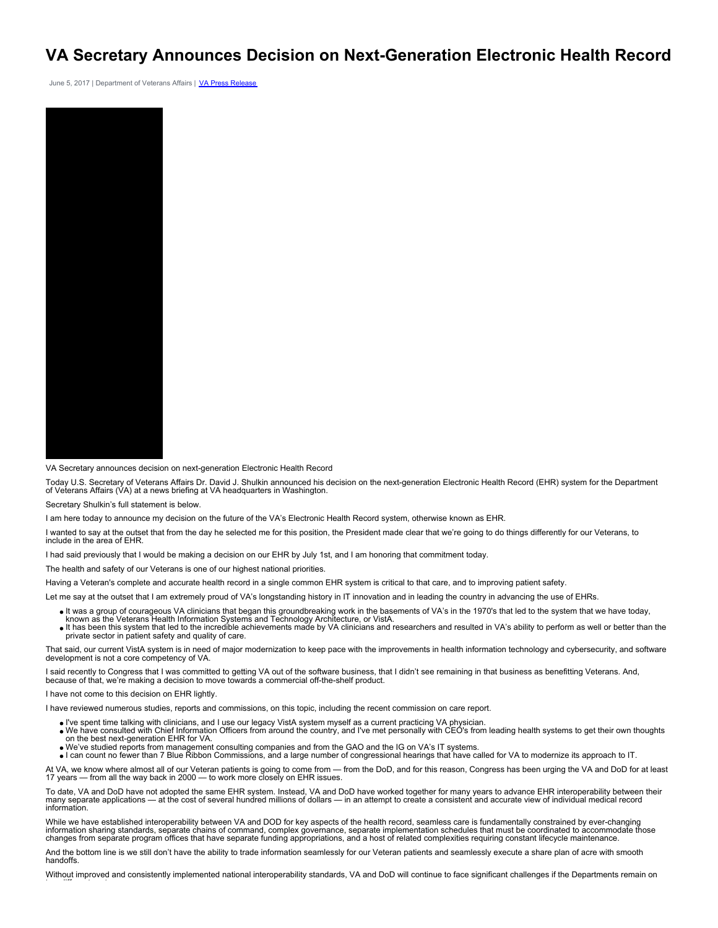## **VA Secretary Announces Decision on Next-Generation Electronic Health Record**

June 5, 2017 | Department of Veterans Affairs | [VA Press Release](https://www.va.gov/opa/pressrel/pressrelease.cfm?id=2914)



VA Secretary announces decision on next-generation Electronic Health Record

Today U.S. Secretary of Veterans Affairs Dr. David J. Shulkin announced his decision on the next-generation Electronic Health Record (EHR) system for the Department of Veterans Affairs (VA) at a news briefing at VA headquarters in Washington.

Secretary Shulkin's full statement is below.

I am here today to announce my decision on the future of the VA's Electronic Health Record system, otherwise known as EHR.

I wanted to say at the outset that from the day he selected me for this position, the President made clear that we're going to do things differently for our Veterans, to include in the area of EHR.

I had said previously that I would be making a decision on our EHR by July 1st, and I am honoring that commitment today.

The health and safety of our Veterans is one of our highest national priorities.

Having a Veteran's complete and accurate health record in a single common EHR system is critical to that care, and to improving patient safety.

Let me say at the outset that I am extremely proud of VA's longstanding history in IT innovation and in leading the country in advancing the use of EHRs.

- It was a group of courageous VA clinicians that began this groundbreaking work in the basements of VA's in the 1970's that led to the system that we have today,
- known as the Veterans Health Information Systems and Technology Architecture, or VistA.<br>It has been this system that led to the incredible achievements made by VA clinicians and researchers and resulted in VA's ability to
- private sector in patient safety and quality of care.

That said, our current VistA system is in need of major modernization to keep pace with the improvements in health information technology and cybersecurity, and software development is not a core competency of VA.

I said recently to Congress that I was committed to getting VA out of the software business, that I didn't see remaining in that business as benefitting Veterans. And, because of that, we're making a decision to move towards a commercial off-the-shelf product.

I have not come to this decision on EHR lightly.

I have reviewed numerous studies, reports and commissions, on this topic, including the recent commission on care report.

- I've spent time talking with clinicians, and I use our legacy VistA system myself as a current practicing VA physician. We have consulted with Chief Information Officers from around the country, and I've met personally with CEO's from leading health systems to get their own thoughts
- on the best next-generation EHR for VA.
- We've studied reports from management consulting companies and from the GAO and the IG on VA's IT systems.

I can count no fewer than 7 Blue Ribbon Commissions, and a large number of congressional hearings that have called for VA to modernize its approach to IT.

At VA, we know where almost all of our Veteran patients is going to come from — from the DoD, and for this reason, Congress has been urging the VA and DoD for at least<br>17 years — from all the way back in 2000 — to work mor

To date, VA and DoD have not adopted the same EHR system. Instead, VA and DoD have worked together for many years to advance EHR interoperability between their many separate applications — at the cost of several hundred millions of dollars — in an attempt to create a consistent and accurate view of individual medical record information.

While we have established interoperability between VA and DOD for key aspects of the health record, seamless care is fundamentally constrained by ever-changing information sharing standards, separate chains of command, complex governance, separate implementation schedules that must be coordinated to accommodate those<br>changes from separate program offices that have separate fundin

And the bottom line is we still don't have the ability to trade information seamlessly for our Veteran patients and seamlessly execute a share plan of acre with smooth handoffs.

Without improved and consistently implemented national interoperability standards, VA and DoD will continue to face significant challenges if the Departments remain on two different systems.